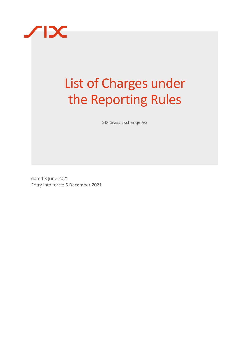

# List of Charges under the Reporting Rules

SIX Swiss Exchange AG

dated 3 June 2021 Entry into force: 6 December 2021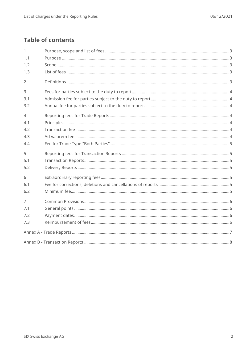# **Table of contents**

| $\mathbf{1}$   |  |
|----------------|--|
| 1.1            |  |
| 1.2            |  |
| 1.3            |  |
| $\overline{2}$ |  |
| 3              |  |
| 3.1            |  |
| 3.2            |  |
| $\overline{4}$ |  |
| 4.1            |  |
| 4.2            |  |
| 4.3            |  |
| 4.4            |  |
| 5              |  |
| 5.1            |  |
| 5.2            |  |
| 6              |  |
| 6.1            |  |
| 6.2            |  |
| $\overline{7}$ |  |
| 7.1            |  |
| 7.2            |  |
| 7.3            |  |
|                |  |
|                |  |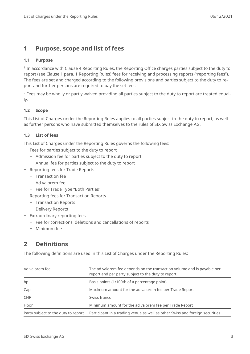## <span id="page-2-0"></span>**1 Purpose, scope and list of fees**

#### <span id="page-2-1"></span>**1.1 Purpose**

1 In accordance with Clause 4 Reporting Rules, the Reporting Office charges parties subject to the duty to report (see Clause 1 para. 1 Reporting Rules) fees for receiving and processing reports ("reporting fees"). The fees are set and charged according to the following provisions and parties subject to the duty to report and further persons are required to pay the set fees.

<sup>2</sup> Fees may be wholly or partly waived providing all parties subject to the duty to report are treated equally.

#### <span id="page-2-2"></span>**1.2 Scope**

This List of Charges under the Reporting Rules applies to all parties subject to the duty to report, as well as further persons who have submitted themselves to the rules of SIX Swiss Exchange AG.

#### <span id="page-2-3"></span>**1.3 List of fees**

This List of Charges under the Reporting Rules governs the following fees:

- ‒ Fees for parties subject to the duty to report
	- ‒ Admission fee for parties subject to the duty to report
	- Annual fee for parties subject to the duty to report
- Reporting fees for Trade Reports
	- ‒ Transaction fee
	- ‒ Ad valorem fee
	- Fee for Trade Type "Both Parties"
- ‒ Reporting fees for Transaction Reports
	- ‒ Transaction Reports
	- Delivery Reports
- Extraordinary reporting fees
	- ‒ Fee for corrections, deletions and cancellations of reports
	- Minimum fee

## <span id="page-2-4"></span>**2 Definitions**

The following definitions are used in this List of Charges under the Reporting Rules:

| Ad valorem fee                      | The ad valorem fee depends on the transaction volume and is payable per<br>report and per party subject to the duty to report. |
|-------------------------------------|--------------------------------------------------------------------------------------------------------------------------------|
| bp                                  | Basis points (1/100th of a percentage point)                                                                                   |
| Cap                                 | Maximum amount for the ad valorem fee per Trade Report                                                                         |
| <b>CHF</b>                          | Swiss francs                                                                                                                   |
| Floor                               | Minimum amount for the ad valorem fee per Trade Report                                                                         |
| Party subject to the duty to report | Participant in a trading venue as well as other Swiss and foreign securities                                                   |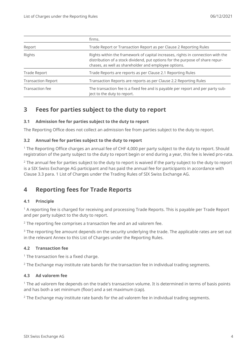|                                                                                                                                                                                                                                    | firms.                                                             |  |  |
|------------------------------------------------------------------------------------------------------------------------------------------------------------------------------------------------------------------------------------|--------------------------------------------------------------------|--|--|
| Report                                                                                                                                                                                                                             | Trade Report or Transaction Report as per Clause 2 Reporting Rules |  |  |
| Rights within the framework of capital increases, rights in connection with the<br>Rights<br>distribution of a stock dividend, put options for the purpose of share repur-<br>chases, as well as shareholder and employee options. |                                                                    |  |  |
| <b>Trade Report</b>                                                                                                                                                                                                                | Trade Reports are reports as per Clause 2.1 Reporting Rules        |  |  |
| <b>Transaction Report</b>                                                                                                                                                                                                          | Transaction Reports are reports as per Clause 2.2 Reporting Rules  |  |  |
| The transaction fee is a fixed fee and is payable per report and per party sub-<br>Transaction fee<br>ject to the duty to report.                                                                                                  |                                                                    |  |  |

## <span id="page-3-0"></span>**3 Fees for parties subject to the duty to report**

#### <span id="page-3-1"></span>**3.1 Admission fee for parties subject to the duty to report**

The Reporting Office does not collect an admission fee from parties subject to the duty to report.

#### <span id="page-3-2"></span>**3.2 Annual fee for parties subject to the duty to report**

<sup>1</sup> The Reporting Office charges an annual fee of CHF 4,000 per party subject to the duty to report. Should registration of the party subject to the duty to report begin or end during a year, this fee is levied pro-rata.

<sup>2</sup> The annual fee for parties subject to the duty to report is waived if the party subject to the duty to report is a SIX Swiss Exchange AG participant and has paid the annual fee for participants in accordance with Clause 3.3 para. 1 List of Charges under the Trading Rules of SIX Swiss Exchange AG.

## <span id="page-3-3"></span>**4 Reporting fees for Trade Reports**

#### <span id="page-3-4"></span>**4.1 Principle**

 $1$  A reporting fee is charged for receiving and processing Trade Reports. This is payable per Trade Report and per party subject to the duty to report.

 $2$  The reporting fee comprises a transaction fee and an ad valorem fee.

<sup>3</sup> The reporting fee amount depends on the security underlying the trade. The applicable rates are set out in the relevant Annex to this List of Charges under the Reporting Rules.

#### <span id="page-3-5"></span>**4.2 Transaction fee**

 $1$  The transaction fee is a fixed charge.

<span id="page-3-6"></span> $2$  The Exchange may institute rate bands for the transaction fee in individual trading segments.

#### **4.3 Ad valorem fee**

 $1$  The ad valorem fee depends on the trade's transaction volume. It is determined in terms of basis points and has both a set minimum (floor) and a set maximum (cap).

 $2$  The Exchange may institute rate bands for the ad valorem fee in individual trading segments.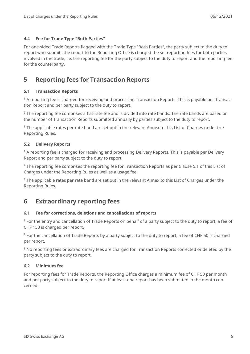#### <span id="page-4-0"></span>**4.4 Fee for Trade Type "Both Parties"**

For one-sided Trade Reports flagged with the Trade Type "Both Parties", the party subject to the duty to report who submits the report to the Reporting Office is charged the set reporting fees for both parties involved in the trade, i.e. the reporting fee for the party subject to the duty to report and the reporting fee for the counterparty.

## <span id="page-4-1"></span>**5 Reporting fees for Transaction Reports**

#### <span id="page-4-2"></span>**5.1 Transaction Reports**

 $1$  A reporting fee is charged for receiving and processing Transaction Reports. This is payable per Transaction Report and per party subject to the duty to report.

 $2$  The reporting fee comprises a flat-rate fee and is divided into rate bands. The rate bands are based on the number of Transaction Reports submitted annually by parties subject to the duty to report.

<sup>3</sup> The applicable rates per rate band are set out in the relevant Annex to this List of Charges under the Reporting Rules.

#### <span id="page-4-3"></span>**5.2 Delivery Reports**

<sup>1</sup> A reporting fee is charged for receiving and processing Delivery Reports. This is payable per Delivery Report and per party subject to the duty to report.

<sup>2</sup> The reporting fee comprises the reporting fee for Transaction Reports as per Clause [5.1](#page-4-2) of this List of Charges under the Reporting Rules as well as a usage fee.

<sup>3</sup> The applicable rates per rate band are set out in the relevant Annex to this List of Charges under the Reporting Rules.

## <span id="page-4-4"></span>**6 Extraordinary reporting fees**

#### <span id="page-4-5"></span>**6.1 Fee for corrections, deletions and cancellations of reports**

<sup>1</sup> For the entry and cancellation of Trade Reports on behalf of a party subject to the duty to report, a fee of CHF 150 is charged per report.

<sup>2</sup> For the cancellation of Trade Reports by a party subject to the duty to report, a fee of CHF 50 is charged per report.

<sup>3</sup> No reporting fees or extraordinary fees are charged for Transaction Reports corrected or deleted by the party subject to the duty to report.

#### <span id="page-4-6"></span>**6.2 Minimum fee**

For reporting fees for Trade Reports, the Reporting Office charges a minimum fee of CHF 50 per month and per party subject to the duty to report if at least one report has been submitted in the month concerned.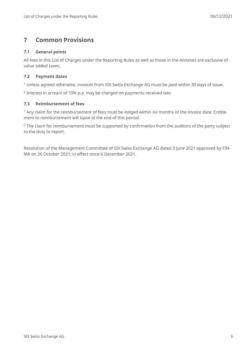# <span id="page-5-0"></span>**7 Common Provisions**

#### <span id="page-5-1"></span>**7.1 General points**

All fees in this List of Charges under the Reporting Rules as well as those in the Annexes are exclusive of value added taxes.

#### <span id="page-5-2"></span>**7.2 Payment dates**

<sup>1</sup> Unless agreed otherwise, invoices from SIX Swiss Exchange AG must be paid within 30 days of issue.

<span id="page-5-3"></span> $2$  Interest in arrears of 10% p.a. may be charged on payments received late.

#### **7.3 Reimbursement of fees**

 $1$  Any claim for the reimbursement of fees must be lodged within six months of the invoice date. Entitlement to reimbursement will lapse at the end of this period.

<sup>2</sup> The claim for reimbursement must be supported by confirmation from the auditors of the party subject to the duty to report.

Resolution of the Management Committee of SIX Swiss Exchange AG dated 3 June 2021 approved by FIN-MA on 26 October 2021; in effect since 6 December 2021.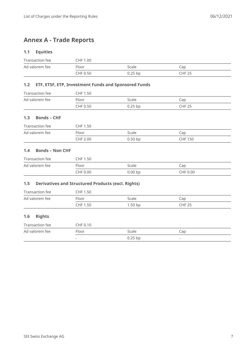# <span id="page-6-0"></span>**Annex A - Trade Reports**

#### **1.1 Equities**

| Transaction fee | CHF 1.00 |           |               |
|-----------------|----------|-----------|---------------|
| Ad valorem fee  | Floor    | Scale     | Cap           |
|                 | CHF 0.50 | $0.25$ bp | <b>CHF 25</b> |

## **1.2 ETF, ETSF, ETP, Investment Funds and Sponsored Funds**

| Transaction fee | CHF 1.50 |           |               |
|-----------------|----------|-----------|---------------|
| Ad valorem fee  | Floor    | Scale     | Cap           |
|                 | CHF 0.50 | $0.25$ bp | <b>CHF 25</b> |

#### **1.3 Bonds – CHF**

| Transaction fee | CHF 1.50 |           |                |
|-----------------|----------|-----------|----------------|
| Ad valorem fee  | Floor    | Scale     | Cap            |
|                 | CHF 2.00 | $0.50$ bp | <b>CHF 150</b> |

#### **1.4 Bonds – Non CHF**

| Transaction fee | <b>CHF 1.50</b> |            |                |
|-----------------|-----------------|------------|----------------|
| Ad valorem fee  | Floor           | Scale      | $\mathsf{cap}$ |
|                 | <b>CHF 0.00</b> | $0.00 b$ p | CHF 0.00       |

## **1.5 Derivatives and Structured Products (excl. Rights)**

| Transaction fee | CHF 1.50        |           |                |  |
|-----------------|-----------------|-----------|----------------|--|
| Ad valorem fee  | Floor           | Scale     | $\mathsf{cap}$ |  |
|                 | <b>CHF 1.50</b> | $1.50$ bp | <b>CHF 25</b>  |  |

#### **1.6 Rights**

| Transaction fee | CHF 0.10                 |           |                          |
|-----------------|--------------------------|-----------|--------------------------|
| Ad valorem fee  | Floor                    | Scale     | Cap                      |
|                 | $\overline{\phantom{a}}$ | $0.25$ bp | $\overline{\phantom{a}}$ |